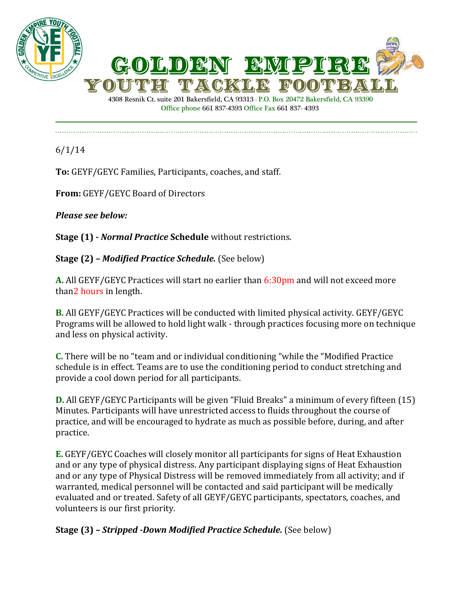



4308 Resnik Ct. suite 201 Bakersfield, CA 93313 - P.O. Box 20472 Bakersfield, CA 93390 Office phone 661 837-4393 Office Fax 661 837- 4393

6/1/14

**To:** GEYF/GEYC Families, Participants, coaches, and staff.

**From:** GEYF/GEYC Board of Directors

*Please see below:*

**Stage (1) -** *Normal Practice* **Schedule** without restrictions.

**Stage (2) –** *Modified Practice Schedule.* (See below)

**A.** All GEYF/GEYC Practices will start no earlier than 6:30pm and will not exceed more than2 hours in length.

**B.** All GEYF/GEYC Practices will be conducted with limited physical activity. GEYF/GEYC Programs will be allowed to hold light walk - through practices focusing more on technique and less on physical activity.

**C.** There will be no "team and or individual conditioning "while the "Modified Practice schedule is in effect. Teams are to use the conditioning period to conduct stretching and provide a cool down period for all participants.

**D.** All GEYF/GEYC Participants will be given "Fluid Breaks" a minimum of every fifteen (15) Minutes. Participants will have unrestricted access to fluids throughout the course of practice, and will be encouraged to hydrate as much as possible before, during, and after practice.

**E.** GEYF/GEYC Coaches will closely monitor all participants for signs of Heat Exhaustion and or any type of physical distress. Any participant displaying signs of Heat Exhaustion and or any type of Physical Distress will be removed immediately from all activity; and if warranted, medical personnel will be contacted and said participant will be medically evaluated and or treated. Safety of all GEYF/GEYC participants, spectators, coaches, and volunteers is our first priority.

**Stage (3) –** *Stripped -Down Modified Practice Schedule.* (See below)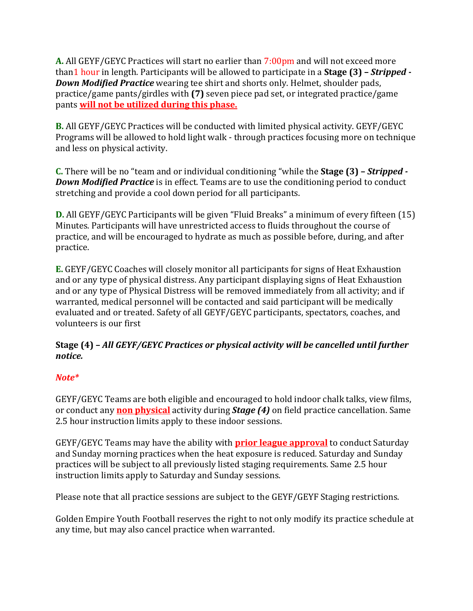**A.** All GEYF/GEYC Practices will start no earlier than 7:00pm and will not exceed more than1 hour in length. Participants will be allowed to participate in a **Stage (3) –** *Stripped - Down Modified Practice* wearing tee shirt and shorts only. Helmet, shoulder pads, practice/game pants/girdles with **(7)** seven piece pad set, or integrated practice/game pants **will not be utilized during this phase.**

**B.** All GEYF/GEYC Practices will be conducted with limited physical activity. GEYF/GEYC Programs will be allowed to hold light walk - through practices focusing more on technique and less on physical activity.

**C.** There will be no "team and or individual conditioning "while the **Stage (3) –** *Stripped - Down Modified Practice* is in effect. Teams are to use the conditioning period to conduct stretching and provide a cool down period for all participants.

**D.** All GEYF/GEYC Participants will be given "Fluid Breaks" a minimum of every fifteen (15) Minutes. Participants will have unrestricted access to fluids throughout the course of practice, and will be encouraged to hydrate as much as possible before, during, and after practice.

**E.** GEYF/GEYC Coaches will closely monitor all participants for signs of Heat Exhaustion and or any type of physical distress. Any participant displaying signs of Heat Exhaustion and or any type of Physical Distress will be removed immediately from all activity; and if warranted, medical personnel will be contacted and said participant will be medically evaluated and or treated. Safety of all GEYF/GEYC participants, spectators, coaches, and volunteers is our first

## **Stage (4) –** *All GEYF/GEYC Practices or physical activity will be cancelled until further notice.*

## *Note\**

GEYF/GEYC Teams are both eligible and encouraged to hold indoor chalk talks, view films, or conduct any **non physical** activity during *Stage (4)* on field practice cancellation. Same 2.5 hour instruction limits apply to these indoor sessions.

GEYF/GEYC Teams may have the ability with **prior league approval** to conduct Saturday and Sunday morning practices when the heat exposure is reduced*.* Saturday and Sunday practices will be subject to all previously listed staging requirements. Same 2.5 hour instruction limits apply to Saturday and Sunday sessions.

Please note that all practice sessions are subject to the GEYF/GEYF Staging restrictions.

Golden Empire Youth Football reserves the right to not only modify its practice schedule at any time, but may also cancel practice when warranted.